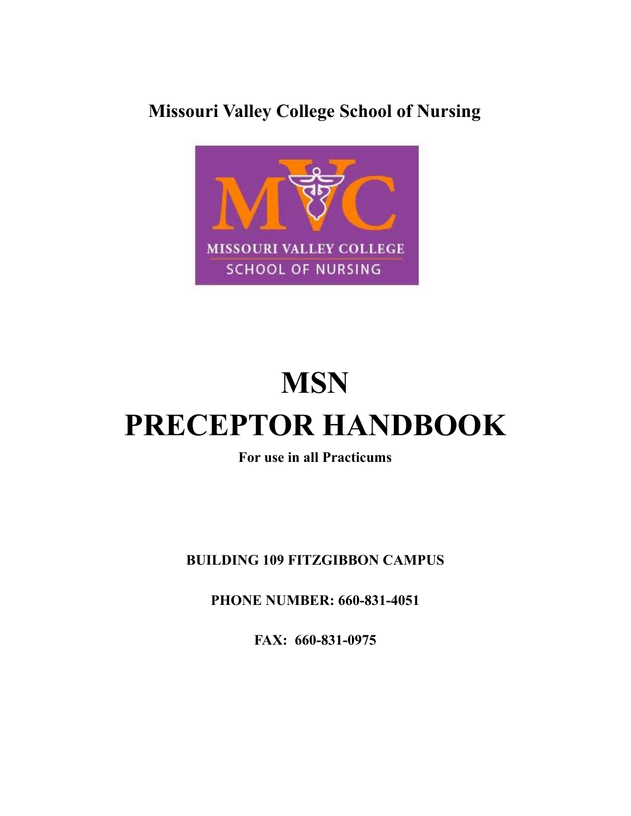## **Missouri Valley College School of Nursing**



# **MSN PRECEPTOR HANDBOOK**

**For use in all Practicums**

**BUILDING 109 FITZGIBBON CAMPUS**

**PHONE NUMBER: 660-831-4051**

**FAX: 660-831-0975**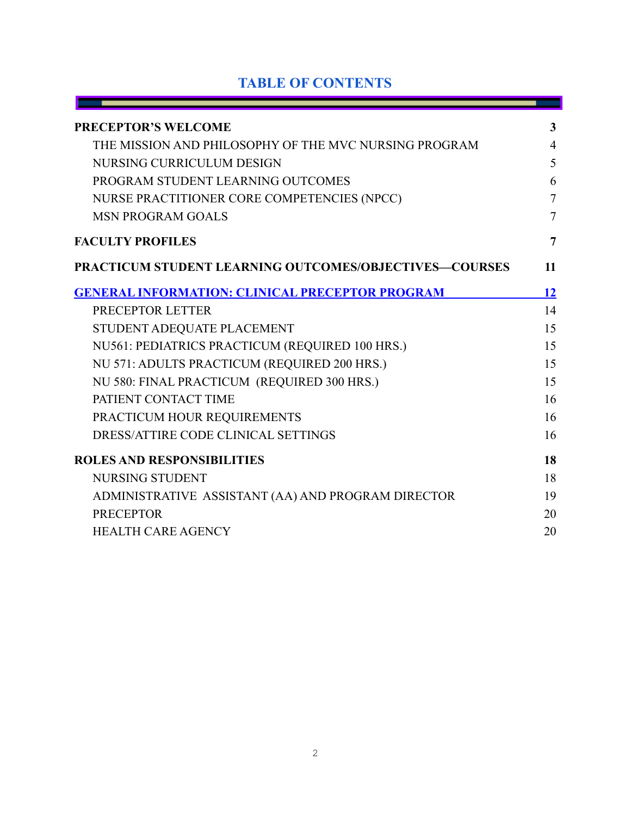## **TABLE OF CONTENTS**

٠

- 1

| <b>PRECEPTOR'S WELCOME</b>                                    | 3              |
|---------------------------------------------------------------|----------------|
| THE MISSION AND PHILOSOPHY OF THE MVC NURSING PROGRAM         | $\overline{4}$ |
| NURSING CURRICULUM DESIGN                                     | 5              |
| PROGRAM STUDENT LEARNING OUTCOMES                             | 6              |
| NURSE PRACTITIONER CORE COMPETENCIES (NPCC)                   | $\overline{7}$ |
| <b>MSN PROGRAM GOALS</b>                                      | $\overline{7}$ |
| <b>FACULTY PROFILES</b>                                       | $\overline{7}$ |
| <b>PRACTICUM STUDENT LEARNING OUTCOMES/OBJECTIVES-COURSES</b> | <b>11</b>      |
| <b>GENERAL INFORMATION: CLINICAL PRECEPTOR PROGRAM</b>        | 12             |
| PRECEPTOR LETTER                                              | 14             |
| STUDENT ADEQUATE PLACEMENT                                    | 15             |
| NU561: PEDIATRICS PRACTICUM (REQUIRED 100 HRS.)               | 15             |
| NU 571: ADULTS PRACTICUM (REQUIRED 200 HRS.)                  | 15             |
| NU 580: FINAL PRACTICUM (REQUIRED 300 HRS.)                   | 15             |
| PATIENT CONTACT TIME                                          | 16             |
| PRACTICUM HOUR REQUIREMENTS                                   | 16             |
| DRESS/ATTIRE CODE CLINICAL SETTINGS                           | 16             |
| <b>ROLES AND RESPONSIBILITIES</b>                             | 18             |
| <b>NURSING STUDENT</b>                                        | 18             |
| ADMINISTRATIVE ASSISTANT (AA) AND PROGRAM DIRECTOR            | 19             |
| <b>PRECEPTOR</b>                                              | 20             |
| <b>HEALTH CARE AGENCY</b>                                     | 20             |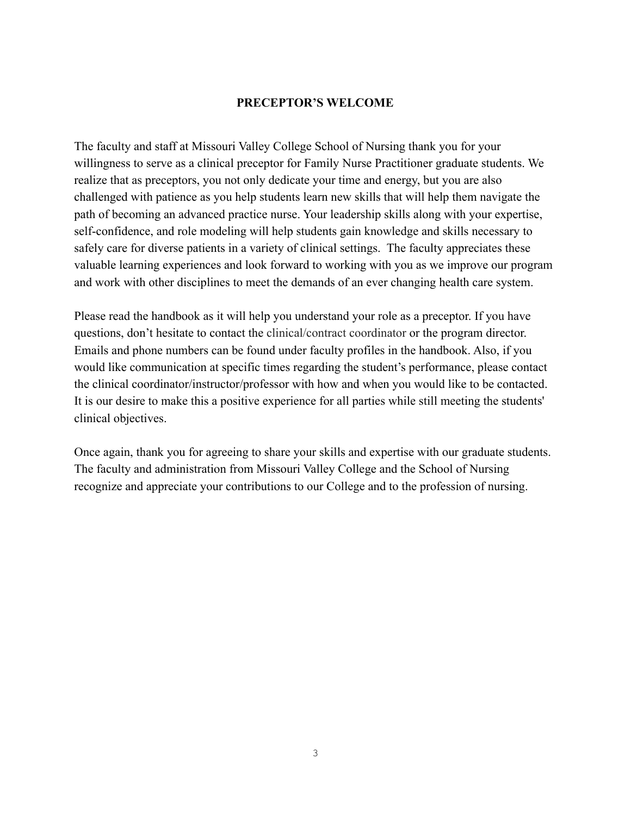#### **PRECEPTOR'S WELCOME**

<span id="page-2-0"></span>The faculty and staff at Missouri Valley College School of Nursing thank you for your willingness to serve as a clinical preceptor for Family Nurse Practitioner graduate students. We realize that as preceptors, you not only dedicate your time and energy, but you are also challenged with patience as you help students learn new skills that will help them navigate the path of becoming an advanced practice nurse. Your leadership skills along with your expertise, self-confidence, and role modeling will help students gain knowledge and skills necessary to safely care for diverse patients in a variety of clinical settings. The faculty appreciates these valuable learning experiences and look forward to working with you as we improve our program and work with other disciplines to meet the demands of an ever changing health care system.

Please read the handbook as it will help you understand your role as a preceptor. If you have questions, don't hesitate to contact the clinical/contract coordinator or the program director. Emails and phone numbers can be found under faculty profiles in the handbook. Also, if you would like communication at specific times regarding the student's performance, please contact the clinical coordinator/instructor/professor with how and when you would like to be contacted. It is our desire to make this a positive experience for all parties while still meeting the students' clinical objectives.

Once again, thank you for agreeing to share your skills and expertise with our graduate students. The faculty and administration from Missouri Valley College and the School of Nursing recognize and appreciate your contributions to our College and to the profession of nursing.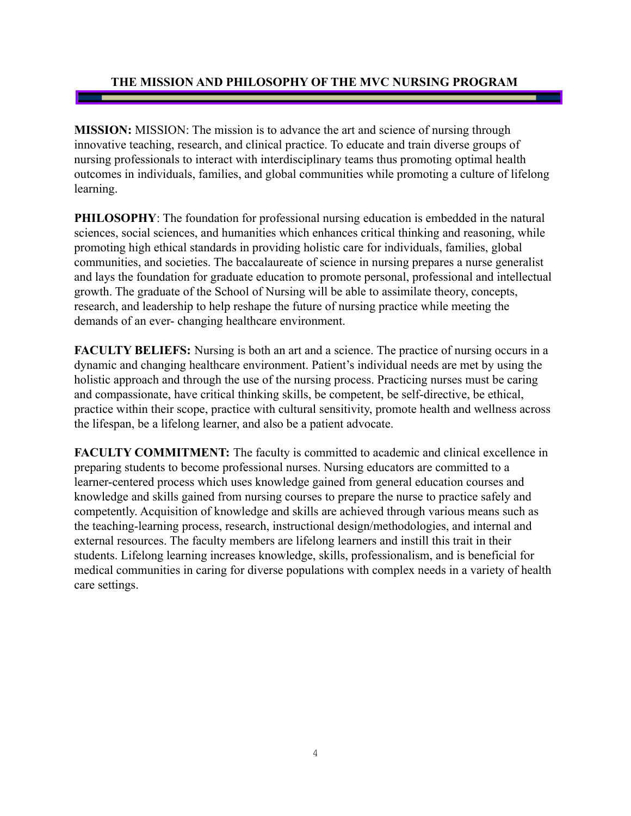#### <span id="page-3-0"></span>**THE MISSION AND PHILOSOPHY OF THE MVC NURSING PROGRAM**

**MISSION:** MISSION: The mission is to advance the art and science of nursing through innovative teaching, research, and clinical practice. To educate and train diverse groups of nursing professionals to interact with interdisciplinary teams thus promoting optimal health outcomes in individuals, families, and global communities while promoting a culture of lifelong learning.

**PHILOSOPHY**: The foundation for professional nursing education is embedded in the natural sciences, social sciences, and humanities which enhances critical thinking and reasoning, while promoting high ethical standards in providing holistic care for individuals, families, global communities, and societies. The baccalaureate of science in nursing prepares a nurse generalist and lays the foundation for graduate education to promote personal, professional and intellectual growth. The graduate of the School of Nursing will be able to assimilate theory, concepts, research, and leadership to help reshape the future of nursing practice while meeting the demands of an ever- changing healthcare environment.

**FACULTY BELIEFS:** Nursing is both an art and a science. The practice of nursing occurs in a dynamic and changing healthcare environment. Patient's individual needs are met by using the holistic approach and through the use of the nursing process. Practicing nurses must be caring and compassionate, have critical thinking skills, be competent, be self-directive, be ethical, practice within their scope, practice with cultural sensitivity, promote health and wellness across the lifespan, be a lifelong learner, and also be a patient advocate.

**FACULTY COMMITMENT:** The faculty is committed to academic and clinical excellence in preparing students to become professional nurses. Nursing educators are committed to a learner-centered process which uses knowledge gained from general education courses and knowledge and skills gained from nursing courses to prepare the nurse to practice safely and competently. Acquisition of knowledge and skills are achieved through various means such as the teaching-learning process, research, instructional design/methodologies, and internal and external resources. The faculty members are lifelong learners and instill this trait in their students. Lifelong learning increases knowledge, skills, professionalism, and is beneficial for medical communities in caring for diverse populations with complex needs in a variety of health care settings.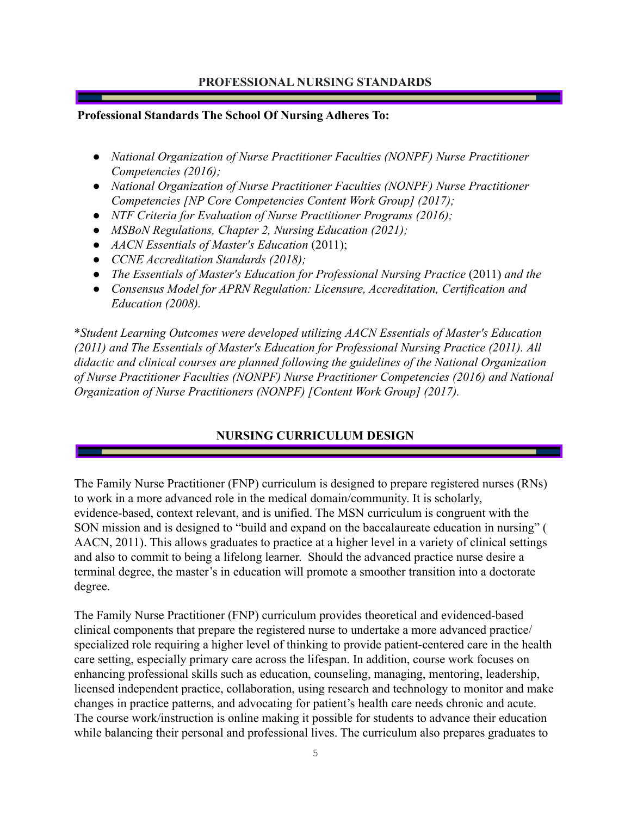#### **PROFESSIONAL NURSING STANDARDS**

#### **Professional Standards The School Of Nursing Adheres To:**

- *● National Organization of Nurse Practitioner Faculties (NONPF) Nurse Practitioner Competencies (2016);*
- *● National Organization of Nurse Practitioner Faculties (NONPF) Nurse Practitioner Competencies [NP Core Competencies Content Work Group] (2017);*
- *NTF Criteria for Evaluation of Nurse Practitioner Programs (2016);*
- *● MSBoN Regulations, Chapter 2, Nursing Education (2021);*
- *● AACN Essentials of Master's Education* (2011);
- *CCNE Accreditation Standards (2018);*
- *● The Essentials of Master's Education for Professional Nursing Practice* (2011) *and the*
- *● Consensus Model for APRN Regulation: Licensure, Accreditation, Certification and Education (2008).*

\**Student Learning Outcomes were developed utilizing AACN Essentials of Master's Education (2011) and The Essentials of Master's Education for Professional Nursing Practice (2011). All didactic and clinical courses are planned following the guidelines of the National Organization of Nurse Practitioner Faculties (NONPF) Nurse Practitioner Competencies (2016) and National Organization of Nurse Practitioners (NONPF) [Content Work Group] (2017).*

## **NURSING CURRICULUM DESIGN**

<span id="page-4-0"></span>The Family Nurse Practitioner (FNP) curriculum is designed to prepare registered nurses (RNs) to work in a more advanced role in the medical domain/community. It is scholarly, evidence-based, context relevant, and is unified. The MSN curriculum is congruent with the SON mission and is designed to "build and expand on the baccalaureate education in nursing" ( AACN, 2011). This allows graduates to practice at a higher level in a variety of clinical settings and also to commit to being a lifelong learner. Should the advanced practice nurse desire a terminal degree, the master's in education will promote a smoother transition into a doctorate degree.

The Family Nurse Practitioner (FNP) curriculum provides theoretical and evidenced-based clinical components that prepare the registered nurse to undertake a more advanced practice/ specialized role requiring a higher level of thinking to provide patient-centered care in the health care setting, especially primary care across the lifespan. In addition, course work focuses on enhancing professional skills such as education, counseling, managing, mentoring, leadership, licensed independent practice, collaboration, using research and technology to monitor and make changes in practice patterns, and advocating for patient's health care needs chronic and acute. The course work/instruction is online making it possible for students to advance their education while balancing their personal and professional lives. The curriculum also prepares graduates to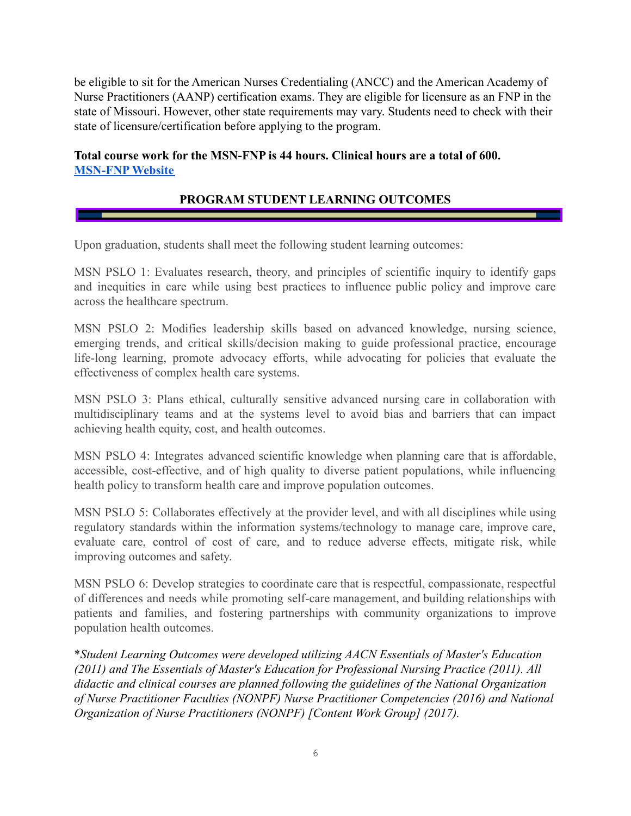be eligible to sit for the American Nurses Credentialing (ANCC) and the American Academy of Nurse Practitioners (AANP) certification exams. They are eligible for licensure as an FNP in the state of Missouri. However, other state requirements may vary. Students need to check with their state of licensure/certification before applying to the program.

#### <span id="page-5-0"></span>**Total course work for the MSN-FNP is 44 hours. Clinical hours are a total of 600. [MSN-FNP](https://www.moval.edu/academics/academic-divisions/school-of-nursing/master-of-science-in-nursing/) Website**

## **PROGRAM STUDENT LEARNING OUTCOMES**

Upon graduation, students shall meet the following student learning outcomes:

MSN PSLO 1: Evaluates research, theory, and principles of scientific inquiry to identify gaps and inequities in care while using best practices to influence public policy and improve care across the healthcare spectrum.

MSN PSLO 2: Modifies leadership skills based on advanced knowledge, nursing science, emerging trends, and critical skills/decision making to guide professional practice, encourage life-long learning, promote advocacy efforts, while advocating for policies that evaluate the effectiveness of complex health care systems.

MSN PSLO 3: Plans ethical, culturally sensitive advanced nursing care in collaboration with multidisciplinary teams and at the systems level to avoid bias and barriers that can impact achieving health equity, cost, and health outcomes.

MSN PSLO 4: Integrates advanced scientific knowledge when planning care that is affordable, accessible, cost-effective, and of high quality to diverse patient populations, while influencing health policy to transform health care and improve population outcomes.

MSN PSLO 5: Collaborates effectively at the provider level, and with all disciplines while using regulatory standards within the information systems/technology to manage care, improve care, evaluate care, control of cost of care, and to reduce adverse effects, mitigate risk, while improving outcomes and safety.

MSN PSLO 6: Develop strategies to coordinate care that is respectful, compassionate, respectful of differences and needs while promoting self-care management, and building relationships with patients and families, and fostering partnerships with community organizations to improve population health outcomes.

\**Student Learning Outcomes were developed utilizing AACN Essentials of Master's Education (2011) and The Essentials of Master's Education for Professional Nursing Practice (2011). All didactic and clinical courses are planned following the guidelines of the National Organization of Nurse Practitioner Faculties (NONPF) Nurse Practitioner Competencies (2016) and National Organization of Nurse Practitioners (NONPF) [Content Work Group] (2017).*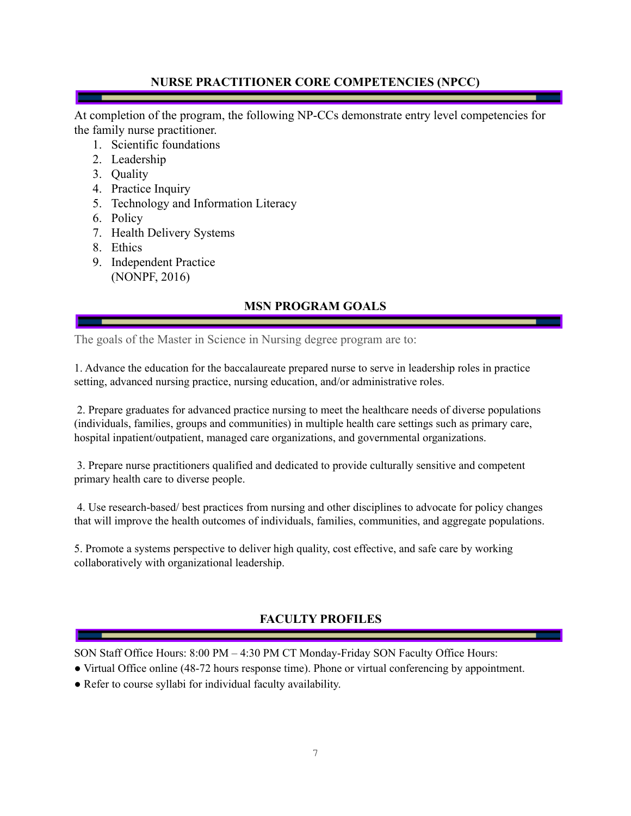#### **NURSE PRACTITIONER CORE COMPETENCIES (NPCC)**

<span id="page-6-0"></span>At completion of the program, the following NP-CCs demonstrate entry level competencies for the family nurse practitioner.

- 1. Scientific foundations
- 2. Leadership
- 3. Quality
- 4. Practice Inquiry
- 5. Technology and Information Literacy
- 6. Policy
- 7. Health Delivery Systems
- 8. Ethics
- 9. Independent Practice (NONPF, 2016)

## **MSN PROGRAM GOALS**

<span id="page-6-1"></span>The goals of the Master in Science in Nursing degree program are to:

1. Advance the education for the baccalaureate prepared nurse to serve in leadership roles in practice setting, advanced nursing practice, nursing education, and/or administrative roles.

2. Prepare graduates for advanced practice nursing to meet the healthcare needs of diverse populations (individuals, families, groups and communities) in multiple health care settings such as primary care, hospital inpatient/outpatient, managed care organizations, and governmental organizations.

3. Prepare nurse practitioners qualified and dedicated to provide culturally sensitive and competent primary health care to diverse people.

4. Use research-based/ best practices from nursing and other disciplines to advocate for policy changes that will improve the health outcomes of individuals, families, communities, and aggregate populations.

5. Promote a systems perspective to deliver high quality, cost effective, and safe care by working collaboratively with organizational leadership.

## **FACULTY PROFILES**

<span id="page-6-2"></span>SON Staff Office Hours: 8:00 PM – 4:30 PM CT Monday-Friday SON Faculty Office Hours:

- Virtual Office online (48-72 hours response time). Phone or virtual conferencing by appointment.
- Refer to course syllabi for individual faculty availability.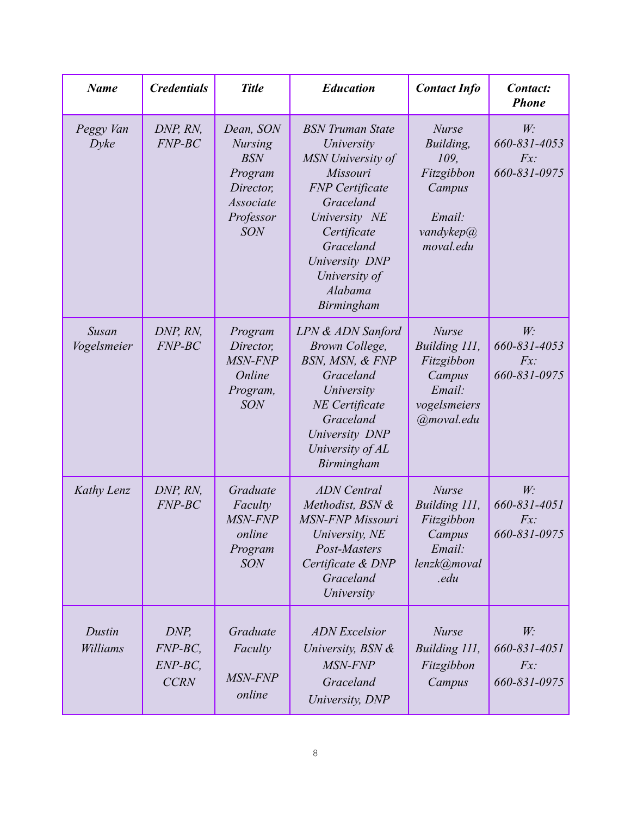| <b>Name</b>                 | <b>Credentials</b>                          | <b>Title</b>                                                                                              | <b>Education</b>                                                                                                                                                                                                       | <b>Contact Info</b>                                                                           | Contact:<br><b>Phone</b>                 |
|-----------------------------|---------------------------------------------|-----------------------------------------------------------------------------------------------------------|------------------------------------------------------------------------------------------------------------------------------------------------------------------------------------------------------------------------|-----------------------------------------------------------------------------------------------|------------------------------------------|
| Peggy Van<br>$D$ <i>yke</i> | DNP, RN,<br>$FNP-BC$                        | Dean, SON<br><b>Nursing</b><br><b>BSN</b><br>Program<br>Director,<br>Associate<br>Professor<br><b>SON</b> | <b>BSN</b> Truman State<br>University<br>MSN University of<br>Missouri<br><b>FNP</b> Certificate<br>Graceland<br>University NE<br>Certificate<br>Graceland<br>University DNP<br>University of<br>Alabama<br>Birmingham | <b>Nurse</b><br>Building,<br>109,<br>Fitzgibbon<br>Campus<br>Email:<br>vandykep@<br>moval.edu | W:<br>660-831-4053<br>Fx<br>660-831-0975 |
| Susan<br>Vogelsmeier        | DNP, RN,<br>$FNP-BC$                        | Program<br>Director,<br>MSN-FNP<br>Online<br>Program,<br><b>SON</b>                                       | LPN & ADN Sanford<br>Brown College,<br>BSN, MSN, & FNP<br>Graceland<br>University<br><b>NE</b> Certificate<br>Graceland<br>University DNP<br>University of AL<br>Birmingham                                            | <b>Nurse</b><br>Building 111,<br>Fitzgibbon<br>Campus<br>Email:<br>vogelsmeiers<br>@moval.edu | W:<br>660-831-4053<br>Fx<br>660-831-0975 |
| Kathy Lenz                  | DNP, RN,<br>$FNP-BC$                        | Graduate<br>Faculty<br>MSN-FNP<br>online<br>Program<br><b>SON</b>                                         | <b>ADN</b> Central<br>Methodist, BSN &<br><b>MSN-FNP Missouri</b><br>University, NE<br>Post-Masters<br>Certificate & DNP<br>Graceland<br>University                                                                    | <b>Nurse</b><br>Building 111,<br>Fitzgibbon<br>Campus<br>Email:<br>lenzk@moval<br>.edu        | W:<br>660-831-4051<br>Fx<br>660-831-0975 |
| Dustin<br>Williams          | DNP,<br>$FNP-BC$<br>$ENP-BC$<br><b>CCRN</b> | Graduate<br>Faculty<br><b>MSN-FNP</b><br>online                                                           | <b>ADN</b> Excelsior<br>University, BSN &<br>MSN-FNP<br>Graceland<br>University, DNP                                                                                                                                   | <b>Nurse</b><br>Building 111,<br>Fitzgibbon<br>Campus                                         | W:<br>660-831-4051<br>Fx<br>660-831-0975 |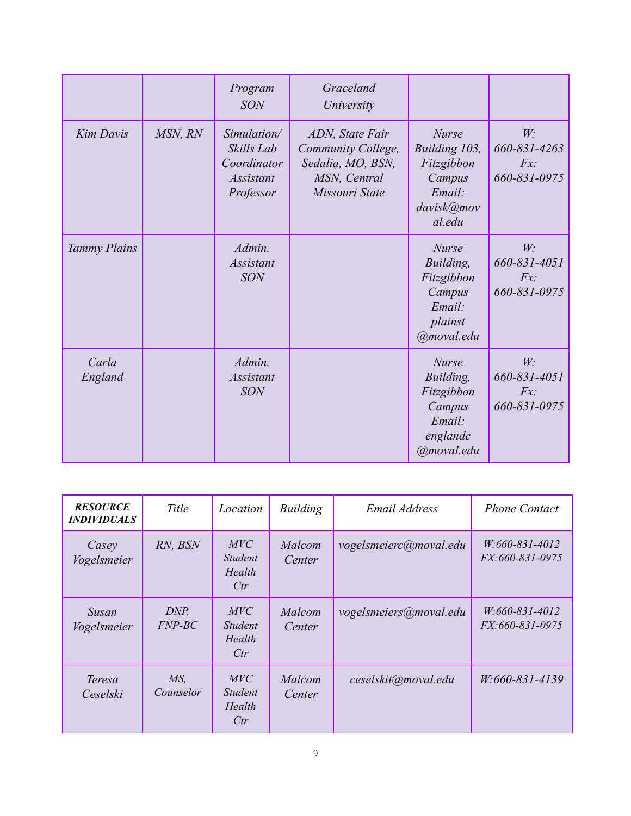|                     |         | Program<br><b>SON</b>                                                     | Graceland<br>University                                                                      |                                                                                         |                                             |
|---------------------|---------|---------------------------------------------------------------------------|----------------------------------------------------------------------------------------------|-----------------------------------------------------------------------------------------|---------------------------------------------|
| <b>Kim Davis</b>    | MSN, RN | Simulation/<br>Skills Lab<br>Coordinator<br><i>Assistant</i><br>Professor | ADN, State Fair<br>Community College,<br>Sedalia, MO, BSN,<br>MSN, Central<br>Missouri State | <b>Nurse</b><br>Building 103,<br>Fitzgibbon<br>Campus<br>Email:<br>davisk@mov<br>al.edu | W:<br>660-831-4263<br>Fx<br>660-831-0975    |
| <b>Tammy Plains</b> |         | Admin.<br><b>Assistant</b><br><b>SON</b>                                  |                                                                                              | <b>Nurse</b><br>Building,<br>Fitzgibbon<br>Campus<br>Email:<br>plainst<br>@moval.edu    | $W_1$<br>660-831-4051<br>Fx<br>660-831-0975 |
| Carla<br>England    |         | Admin.<br><i>Assistant</i><br><b>SON</b>                                  |                                                                                              | <b>Nurse</b><br>Building,<br>Fitzgibbon<br>Campus<br>Email:<br>englandc<br>@moval.edu   | W:<br>660-831-4051<br>Fx<br>660-831-0975    |

| <b>RESOURCE</b><br><i><b>INDIVIDUALS</b></i> | Title                        | Location                                      | <b>Building</b>  | <b>Email Address</b>   | <b>Phone Contact</b>                       |
|----------------------------------------------|------------------------------|-----------------------------------------------|------------------|------------------------|--------------------------------------------|
| Casey<br>Vogelsmeier                         | RN, BSN                      | MVC<br><i>Student</i><br>Health<br>Ctr        | Malcom<br>Center | vogelsmeierc@moval.edu | $W:660-831-4012$<br><i>FX:660-831-0975</i> |
| <b>Susan</b><br>Vogelsmeier                  | DNP,<br>$FNP-BC$             | <b>MVC</b><br><i>Student</i><br>Health<br>Ctr | Malcom<br>Center | vogelsmeiers@moval.edu | $W:660-831-4012$<br><i>FX:660-831-0975</i> |
| Teresa<br>Ceselski                           | MS <sub>1</sub><br>Counselor | <i>MVC</i><br><i>Student</i><br>Health<br>Ctr | Malcom<br>Center | ceselskit@moval.edu    | W:660-831-4139                             |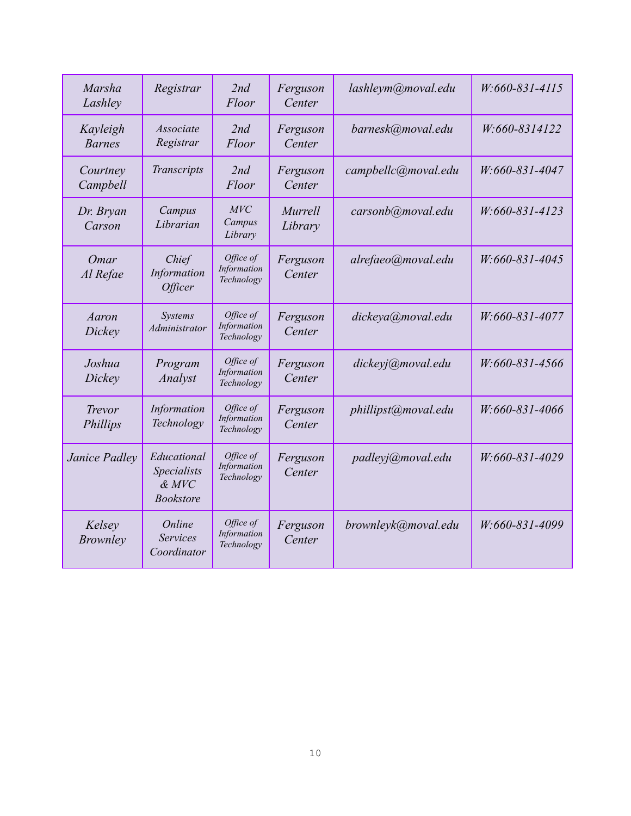| <b>Marsha</b><br>Lashley  | Registrar                                                 | 2nd<br>Floor                           | Ferguson<br>Center | lashleym@moval.edu  | W:660-831-4115 |
|---------------------------|-----------------------------------------------------------|----------------------------------------|--------------------|---------------------|----------------|
| Kayleigh<br><b>Barnes</b> | Associate<br>Registrar                                    | 2nd<br>Floor                           | Ferguson<br>Center | barnesk@moval.edu   | W:660-8314122  |
| Courtney<br>Campbell      | Transcripts                                               | 2nd<br>Floor                           | Ferguson<br>Center | campbellc@moval.edu | W:660-831-4047 |
| Dr. Bryan<br>Carson       | Campus<br>Librarian                                       | MVC<br>Campus<br>Library               | Murrell<br>Library | carsonb@moval.edu   | W:660-831-4123 |
| Omar<br>Al Refae          | Chief<br>Information<br><b>Officer</b>                    | Office of<br>Information<br>Technology | Ferguson<br>Center | alrefaeo@moval.edu  | W:660-831-4045 |
| Aaron<br>Dickey           | Systems<br>Administrator                                  | Office of<br>Information<br>Technology | Ferguson<br>Center | dickeya@moval.edu   | W:660-831-4077 |
| Joshua<br>Dickey          | Program<br>Analyst                                        | Office of<br>Information<br>Technology | Ferguson<br>Center | dickeyj@moval.edu   | W:660-831-4566 |
| <b>Trevor</b><br>Phillips | Information<br>Technology                                 | Office of<br>Information<br>Technology | Ferguson<br>Center | phillipst@moval.edu | W:660-831-4066 |
| Janice Padley             | Educational<br>Specialists<br>$&$ MVC<br><b>Bookstore</b> | Office of<br>Information<br>Technology | Ferguson<br>Center | padleyj@moval.edu   | W:660-831-4029 |
| Kelsey<br><b>Brownley</b> | Online<br><b>Services</b><br>Coordinator                  | Office of<br>Information<br>Technology | Ferguson<br>Center | brownleyk@moval.edu | W:660-831-4099 |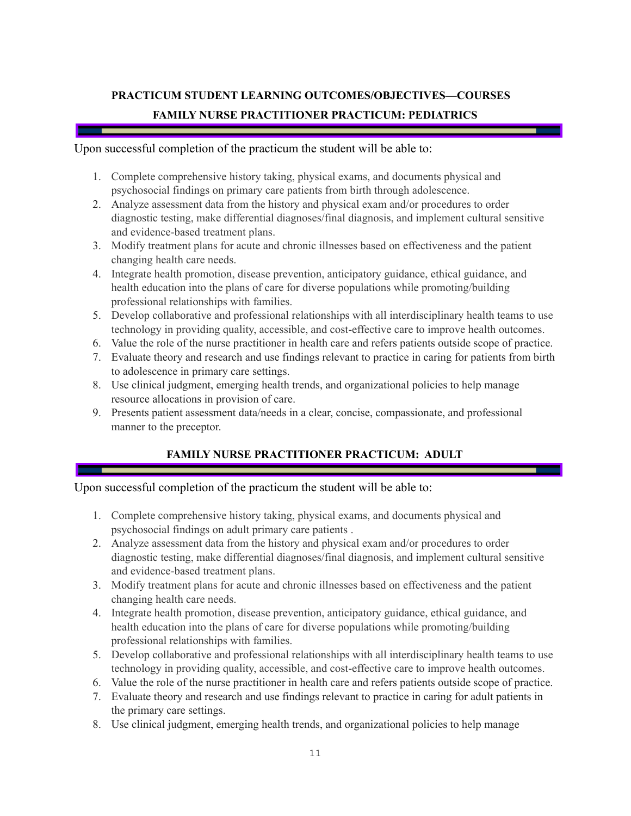## <span id="page-10-0"></span>**PRACTICUM STUDENT LEARNING OUTCOMES/OBJECTIVES—COURSES FAMILY NURSE PRACTITIONER PRACTICUM: PEDIATRICS**

#### Upon successful completion of the practicum the student will be able to:

- 1. Complete comprehensive history taking, physical exams, and documents physical and psychosocial findings on primary care patients from birth through adolescence.
- 2. Analyze assessment data from the history and physical exam and/or procedures to order diagnostic testing, make differential diagnoses/final diagnosis, and implement cultural sensitive and evidence-based treatment plans.
- 3. Modify treatment plans for acute and chronic illnesses based on effectiveness and the patient changing health care needs.
- 4. Integrate health promotion, disease prevention, anticipatory guidance, ethical guidance, and health education into the plans of care for diverse populations while promoting/building professional relationships with families.
- 5. Develop collaborative and professional relationships with all interdisciplinary health teams to use technology in providing quality, accessible, and cost-effective care to improve health outcomes.
- 6. Value the role of the nurse practitioner in health care and refers patients outside scope of practice.
- 7. Evaluate theory and research and use findings relevant to practice in caring for patients from birth to adolescence in primary care settings.
- 8. Use clinical judgment, emerging health trends, and organizational policies to help manage resource allocations in provision of care.
- 9. Presents patient assessment data/needs in a clear, concise, compassionate, and professional manner to the preceptor.

#### **FAMILY NURSE PRACTITIONER PRACTICUM: ADULT**

#### Upon successful completion of the practicum the student will be able to:

- 1. Complete comprehensive history taking, physical exams, and documents physical and psychosocial findings on adult primary care patients .
- 2. Analyze assessment data from the history and physical exam and/or procedures to order diagnostic testing, make differential diagnoses/final diagnosis, and implement cultural sensitive and evidence-based treatment plans.
- 3. Modify treatment plans for acute and chronic illnesses based on effectiveness and the patient changing health care needs.
- 4. Integrate health promotion, disease prevention, anticipatory guidance, ethical guidance, and health education into the plans of care for diverse populations while promoting/building professional relationships with families.
- 5. Develop collaborative and professional relationships with all interdisciplinary health teams to use technology in providing quality, accessible, and cost-effective care to improve health outcomes.
- 6. Value the role of the nurse practitioner in health care and refers patients outside scope of practice.
- 7. Evaluate theory and research and use findings relevant to practice in caring for adult patients in the primary care settings.
- 8. Use clinical judgment, emerging health trends, and organizational policies to help manage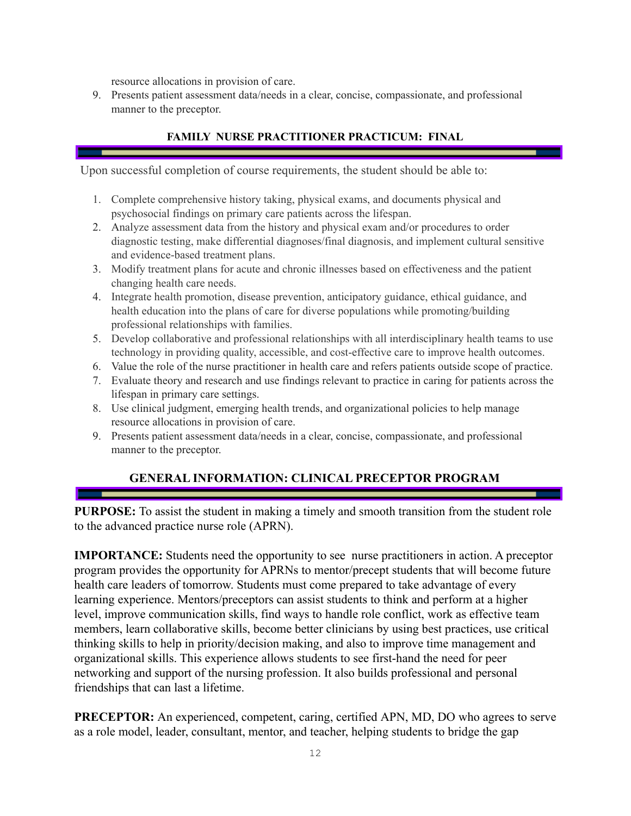resource allocations in provision of care.

9. Presents patient assessment data/needs in a clear, concise, compassionate, and professional manner to the preceptor.

#### **FAMILY NURSE PRACTITIONER PRACTICUM: FINAL**

Upon successful completion of course requirements, the student should be able to:

- 1. Complete comprehensive history taking, physical exams, and documents physical and psychosocial findings on primary care patients across the lifespan.
- 2. Analyze assessment data from the history and physical exam and/or procedures to order diagnostic testing, make differential diagnoses/final diagnosis, and implement cultural sensitive and evidence-based treatment plans.
- 3. Modify treatment plans for acute and chronic illnesses based on effectiveness and the patient changing health care needs.
- 4. Integrate health promotion, disease prevention, anticipatory guidance, ethical guidance, and health education into the plans of care for diverse populations while promoting/building professional relationships with families.
- 5. Develop collaborative and professional relationships with all interdisciplinary health teams to use technology in providing quality, accessible, and cost-effective care to improve health outcomes.
- 6. Value the role of the nurse practitioner in health care and refers patients outside scope of practice.
- 7. Evaluate theory and research and use findings relevant to practice in caring for patients across the lifespan in primary care settings.
- 8. Use clinical judgment, emerging health trends, and organizational policies to help manage resource allocations in provision of care.
- 9. Presents patient assessment data/needs in a clear, concise, compassionate, and professional manner to the preceptor.

## **GENERAL INFORMATION: CLINICAL PRECEPTOR PROGRAM**

<span id="page-11-0"></span>**PURPOSE:** To assist the student in making a timely and smooth transition from the student role to the advanced practice nurse role (APRN).

**IMPORTANCE:** Students need the opportunity to see nurse practitioners in action. A preceptor program provides the opportunity for APRNs to mentor/precept students that will become future health care leaders of tomorrow. Students must come prepared to take advantage of every learning experience. Mentors/preceptors can assist students to think and perform at a higher level, improve communication skills, find ways to handle role conflict, work as effective team members, learn collaborative skills, become better clinicians by using best practices, use critical thinking skills to help in priority/decision making, and also to improve time management and organizational skills. This experience allows students to see first-hand the need for peer networking and support of the nursing profession. It also builds professional and personal friendships that can last a lifetime.

**PRECEPTOR:** An experienced, competent, caring, certified APN, MD, DO who agrees to serve as a role model, leader, consultant, mentor, and teacher, helping students to bridge the gap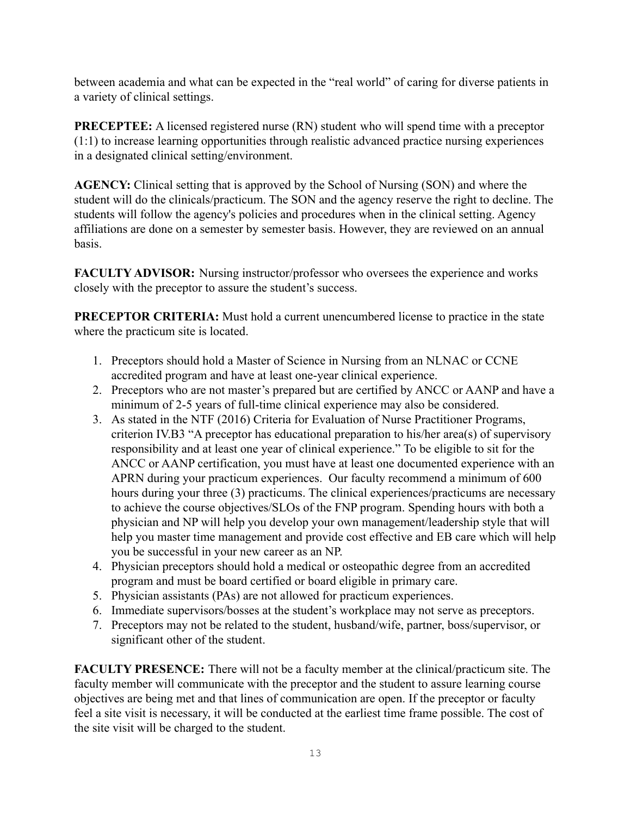between academia and what can be expected in the "real world" of caring for diverse patients in a variety of clinical settings.

**PRECEPTEE:** A licensed registered nurse (RN) student who will spend time with a preceptor (1:1) to increase learning opportunities through realistic advanced practice nursing experiences in a designated clinical setting/environment.

**AGENCY:** Clinical setting that is approved by the School of Nursing (SON) and where the student will do the clinicals/practicum. The SON and the agency reserve the right to decline. The students will follow the agency's policies and procedures when in the clinical setting. Agency affiliations are done on a semester by semester basis. However, they are reviewed on an annual basis.

**FACULTY ADVISOR:** Nursing instructor/professor who oversees the experience and works closely with the preceptor to assure the student's success.

**PRECEPTOR CRITERIA:** Must hold a current unencumbered license to practice in the state where the practicum site is located.

- 1. Preceptors should hold a Master of Science in Nursing from an NLNAC or CCNE accredited program and have at least one-year clinical experience.
- 2. Preceptors who are not master's prepared but are certified by ANCC or AANP and have a minimum of 2-5 years of full-time clinical experience may also be considered.
- 3. As stated in the NTF (2016) Criteria for Evaluation of Nurse Practitioner Programs, criterion IV.B3 "A preceptor has educational preparation to his/her area(s) of supervisory responsibility and at least one year of clinical experience." To be eligible to sit for the ANCC or AANP certification, you must have at least one documented experience with an APRN during your practicum experiences. Our faculty recommend a minimum of 600 hours during your three (3) practicums. The clinical experiences/practicums are necessary to achieve the course objectives/SLOs of the FNP program. Spending hours with both a physician and NP will help you develop your own management/leadership style that will help you master time management and provide cost effective and EB care which will help you be successful in your new career as an NP.
- 4. Physician preceptors should hold a medical or osteopathic degree from an accredited program and must be board certified or board eligible in primary care.
- 5. Physician assistants (PAs) are not allowed for practicum experiences.
- 6. Immediate supervisors/bosses at the student's workplace may not serve as preceptors.
- 7. Preceptors may not be related to the student, husband/wife, partner, boss/supervisor, or significant other of the student.

**FACULTY PRESENCE:** There will not be a faculty member at the clinical/practicum site. The faculty member will communicate with the preceptor and the student to assure learning course objectives are being met and that lines of communication are open. If the preceptor or faculty feel a site visit is necessary, it will be conducted at the earliest time frame possible. The cost of the site visit will be charged to the student.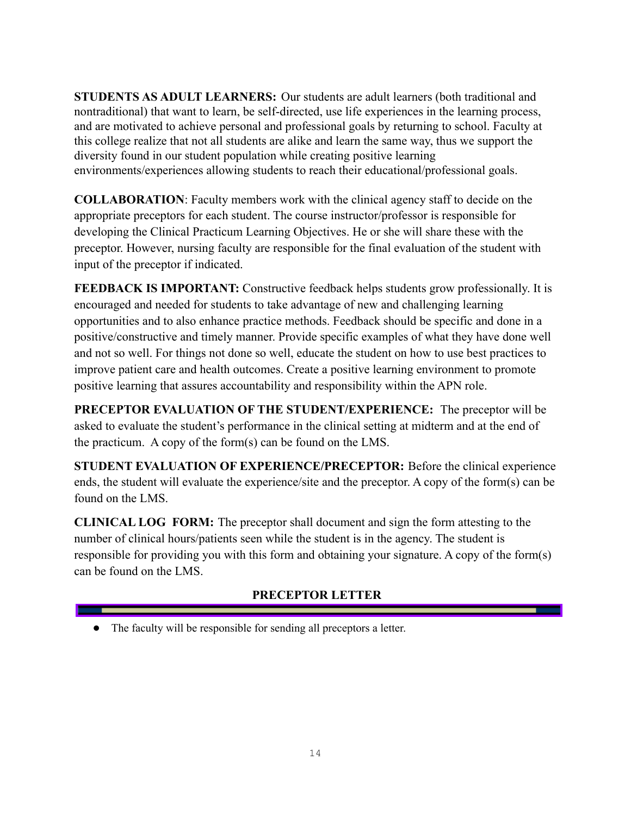**STUDENTS AS ADULT LEARNERS:** Our students are adult learners (both traditional and nontraditional) that want to learn, be self-directed, use life experiences in the learning process, and are motivated to achieve personal and professional goals by returning to school. Faculty at this college realize that not all students are alike and learn the same way, thus we support the diversity found in our student population while creating positive learning environments/experiences allowing students to reach their educational/professional goals.

**COLLABORATION**: Faculty members work with the clinical agency staff to decide on the appropriate preceptors for each student. The course instructor/professor is responsible for developing the Clinical Practicum Learning Objectives. He or she will share these with the preceptor. However, nursing faculty are responsible for the final evaluation of the student with input of the preceptor if indicated.

**FEEDBACK IS IMPORTANT:** Constructive feedback helps students grow professionally. It is encouraged and needed for students to take advantage of new and challenging learning opportunities and to also enhance practice methods. Feedback should be specific and done in a positive/constructive and timely manner. Provide specific examples of what they have done well and not so well. For things not done so well, educate the student on how to use best practices to improve patient care and health outcomes. Create a positive learning environment to promote positive learning that assures accountability and responsibility within the APN role.

**PRECEPTOR EVALUATION OF THE STUDENT/EXPERIENCE:** The preceptor will be asked to evaluate the student's performance in the clinical setting at midterm and at the end of the practicum. A copy of the form(s) can be found on the LMS.

**STUDENT EVALUATION OF EXPERIENCE/PRECEPTOR:** Before the clinical experience ends, the student will evaluate the experience/site and the preceptor. A copy of the form(s) can be found on the LMS.

**CLINICAL LOG FORM:** The preceptor shall document and sign the form attesting to the number of clinical hours/patients seen while the student is in the agency. The student is responsible for providing you with this form and obtaining your signature. A copy of the form(s) can be found on the LMS.

## **PRECEPTOR LETTER**

<span id="page-13-0"></span>● The faculty will be responsible for sending all preceptors a letter.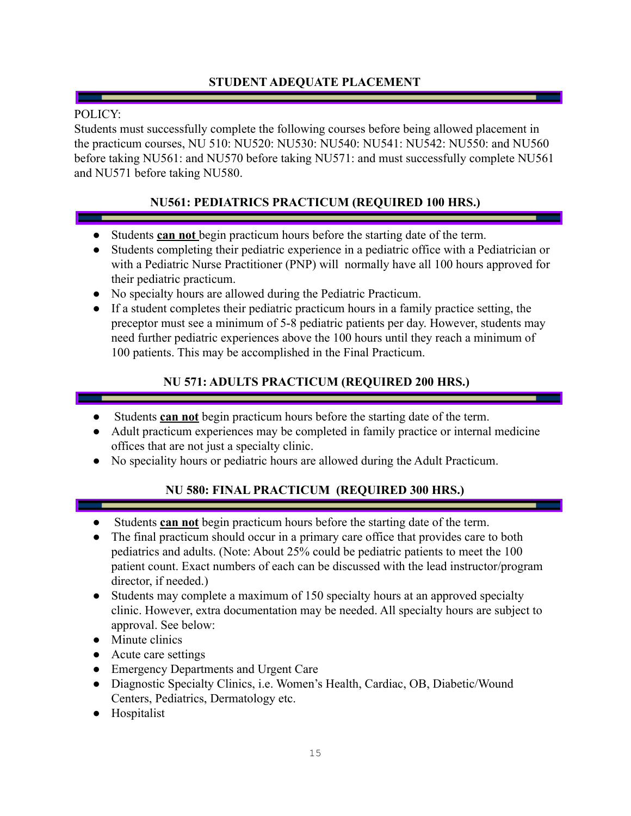## **STUDENT ADEQUATE PLACEMENT**

#### <span id="page-14-0"></span>POLICY:

Students must successfully complete the following courses before being allowed placement in the practicum courses, NU 510: NU520: NU530: NU540: NU541: NU542: NU550: and NU560 before taking NU561: and NU570 before taking NU571: and must successfully complete NU561 and NU571 before taking NU580.

## **NU561: PEDIATRICS PRACTICUM (REQUIRED 100 HRS.)**

- <span id="page-14-1"></span>● Students **can not** begin practicum hours before the starting date of the term.
- Students completing their pediatric experience in a pediatric office with a Pediatrician or with a Pediatric Nurse Practitioner (PNP) will normally have all 100 hours approved for their pediatric practicum.
- No specialty hours are allowed during the Pediatric Practicum.
- If a student completes their pediatric practicum hours in a family practice setting, the preceptor must see a minimum of 5-8 pediatric patients per day. However, students may need further pediatric experiences above the 100 hours until they reach a minimum of 100 patients. This may be accomplished in the Final Practicum.

## **NU 571: ADULTS PRACTICUM (REQUIRED 200 HRS.)**

- <span id="page-14-2"></span>Students **can not** begin practicum hours before the starting date of the term.
- Adult practicum experiences may be completed in family practice or internal medicine offices that are not just a specialty clinic.
- <span id="page-14-3"></span>● No speciality hours or pediatric hours are allowed during the Adult Practicum.

## **NU 580: FINAL PRACTICUM (REQUIRED 300 HRS.)**

- Students **can not** begin practicum hours before the starting date of the term.
- The final practicum should occur in a primary care office that provides care to both pediatrics and adults. (Note: About 25% could be pediatric patients to meet the 100 patient count. Exact numbers of each can be discussed with the lead instructor/program director, if needed.)
- Students may complete a maximum of 150 specialty hours at an approved specialty clinic. However, extra documentation may be needed. All specialty hours are subject to approval. See below:
- Minute clinics
- Acute care settings
- Emergency Departments and Urgent Care
- Diagnostic Specialty Clinics, i.e. Women's Health, Cardiac, OB, Diabetic/Wound Centers, Pediatrics, Dermatology etc.
- Hospitalist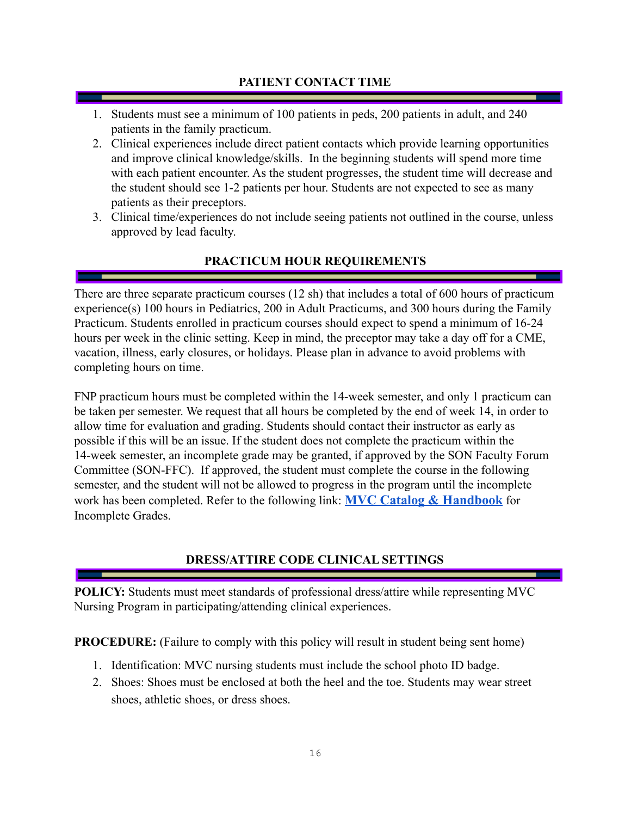#### **PATIENT CONTACT TIME**

- <span id="page-15-0"></span>1. Students must see a minimum of 100 patients in peds, 200 patients in adult, and 240 patients in the family practicum.
- 2. Clinical experiences include direct patient contacts which provide learning opportunities and improve clinical knowledge/skills. In the beginning students will spend more time with each patient encounter. As the student progresses, the student time will decrease and the student should see 1-2 patients per hour. Students are not expected to see as many patients as their preceptors.
- 3. Clinical time/experiences do not include seeing patients not outlined in the course, unless approved by lead faculty.

## **PRACTICUM HOUR REQUIREMENTS**

<span id="page-15-1"></span>There are three separate practicum courses (12 sh) that includes a total of 600 hours of practicum experience(s) 100 hours in Pediatrics, 200 in Adult Practicums, and 300 hours during the Family Practicum. Students enrolled in practicum courses should expect to spend a minimum of 16-24 hours per week in the clinic setting. Keep in mind, the preceptor may take a day off for a CME, vacation, illness, early closures, or holidays. Please plan in advance to avoid problems with completing hours on time.

FNP practicum hours must be completed within the 14-week semester, and only 1 practicum can be taken per semester. We request that all hours be completed by the end of week 14, in order to allow time for evaluation and grading. Students should contact their instructor as early as possible if this will be an issue. If the student does not complete the practicum within the 14-week semester, an incomplete grade may be granted, if approved by the SON Faculty Forum Committee (SON-FFC). If approved, the student must complete the course in the following semester, and the student will not be allowed to progress in the program until the incomplete work has been completed. Refer to the following link: **MVC Catalog & [Handbook](https://www.moval.edu/academics/academic-catalog/)** for Incomplete Grades.

## **DRESS/ATTIRE CODE CLINICAL SETTINGS**

<span id="page-15-2"></span>**POLICY:** Students must meet standards of professional dress/attire while representing MVC Nursing Program in participating/attending clinical experiences.

**PROCEDURE:** (Failure to comply with this policy will result in student being sent home)

- 1. Identification: MVC nursing students must include the school photo ID badge.
- 2. Shoes: Shoes must be enclosed at both the heel and the toe. Students may wear street shoes, athletic shoes, or dress shoes.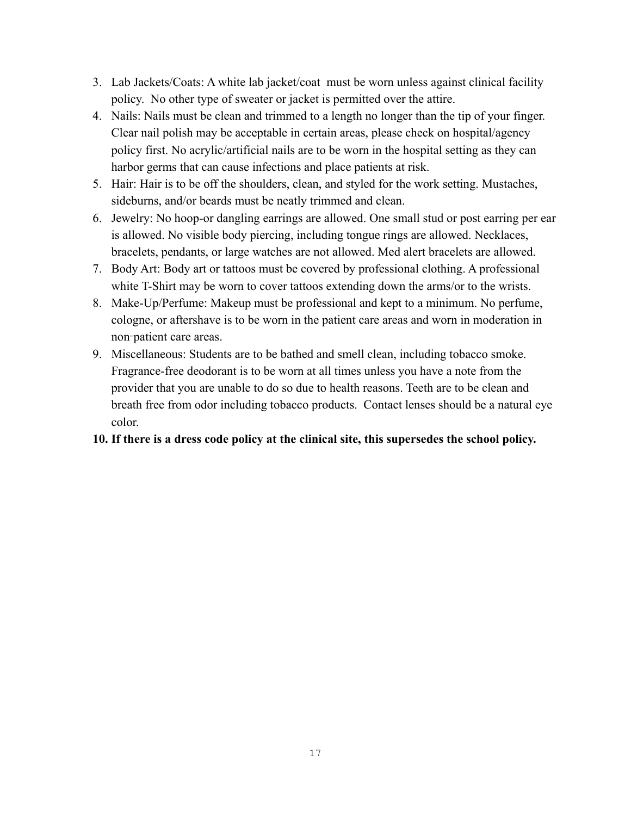- 3. Lab Jackets/Coats: A white lab jacket/coat must be worn unless against clinical facility policy. No other type of sweater or jacket is permitted over the attire.
- 4. Nails: Nails must be clean and trimmed to a length no longer than the tip of your finger. Clear nail polish may be acceptable in certain areas, please check on hospital/agency policy first. No acrylic/artificial nails are to be worn in the hospital setting as they can harbor germs that can cause infections and place patients at risk.
- 5. Hair: Hair is to be off the shoulders, clean, and styled for the work setting. Mustaches, sideburns, and/or beards must be neatly trimmed and clean.
- 6. Jewelry: No hoop-or dangling earrings are allowed. One small stud or post earring per ear is allowed. No visible body piercing, including tongue rings are allowed. Necklaces, bracelets, pendants, or large watches are not allowed. Med alert bracelets are allowed.
- 7. Body Art: Body art or tattoos must be covered by professional clothing. A professional white T-Shirt may be worn to cover tattoos extending down the arms/or to the wrists.
- 8. Make-Up/Perfume: Makeup must be professional and kept to a minimum. No perfume, cologne, or aftershave is to be worn in the patient care areas and worn in moderation in non‑patient care areas.
- 9. Miscellaneous: Students are to be bathed and smell clean, including tobacco smoke. Fragrance-free deodorant is to be worn at all times unless you have a note from the provider that you are unable to do so due to health reasons. Teeth are to be clean and breath free from odor including tobacco products. Contact lenses should be a natural eye color.

## **10. If there is a dress code policy at the clinical site, this supersedes the school policy.**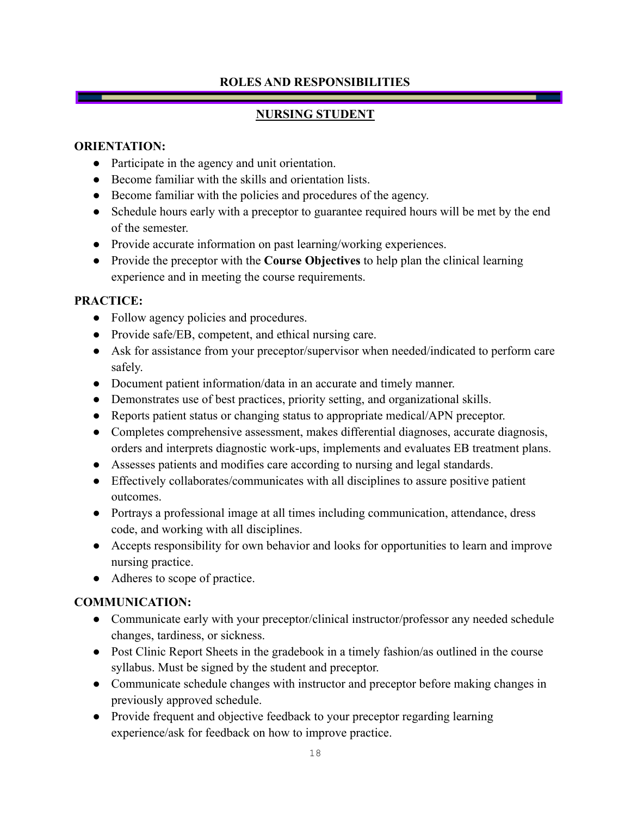#### **ROLES AND RESPONSIBILITIES**

### **NURSING STUDENT**

#### <span id="page-17-1"></span><span id="page-17-0"></span>**ORIENTATION:**

- Participate in the agency and unit orientation.
- Become familiar with the skills and orientation lists.
- Become familiar with the policies and procedures of the agency.
- Schedule hours early with a preceptor to guarantee required hours will be met by the end of the semester.
- Provide accurate information on past learning/working experiences.
- Provide the preceptor with the **Course Objectives** to help plan the clinical learning experience and in meeting the course requirements.

### **PRACTICE:**

- Follow agency policies and procedures.
- Provide safe/EB, competent, and ethical nursing care.
- Ask for assistance from your preceptor/supervisor when needed/indicated to perform care safely.
- Document patient information/data in an accurate and timely manner.
- Demonstrates use of best practices, priority setting, and organizational skills.
- Reports patient status or changing status to appropriate medical/APN preceptor.
- Completes comprehensive assessment, makes differential diagnoses, accurate diagnosis, orders and interprets diagnostic work-ups, implements and evaluates EB treatment plans.
- Assesses patients and modifies care according to nursing and legal standards.
- Effectively collaborates/communicates with all disciplines to assure positive patient outcomes.
- Portrays a professional image at all times including communication, attendance, dress code, and working with all disciplines.
- Accepts responsibility for own behavior and looks for opportunities to learn and improve nursing practice.
- Adheres to scope of practice.

## **COMMUNICATION:**

- Communicate early with your preceptor/clinical instructor/professor any needed schedule changes, tardiness, or sickness.
- Post Clinic Report Sheets in the gradebook in a timely fashion/as outlined in the course syllabus. Must be signed by the student and preceptor.
- Communicate schedule changes with instructor and preceptor before making changes in previously approved schedule.
- Provide frequent and objective feedback to your preceptor regarding learning experience/ask for feedback on how to improve practice.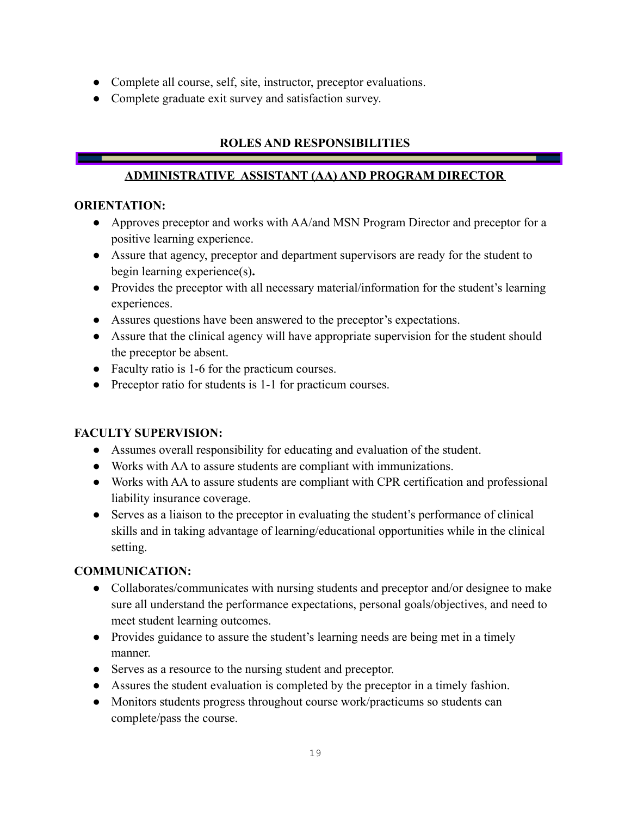- Complete all course, self, site, instructor, preceptor evaluations.
- Complete graduate exit survey and satisfaction survey.

## **ROLES AND RESPONSIBILITIES**

### **ADMINISTRATIVE ASSISTANT (AA) AND PROGRAM DIRECTOR**

#### <span id="page-18-0"></span>**ORIENTATION:**

- Approves preceptor and works with AA/and MSN Program Director and preceptor for a positive learning experience.
- **●** Assure that agency, preceptor and department supervisors are ready for the student to begin learning experience(s)**.**
- Provides the preceptor with all necessary material/information for the student's learning experiences.
- Assures questions have been answered to the preceptor's expectations.
- Assure that the clinical agency will have appropriate supervision for the student should the preceptor be absent.
- Faculty ratio is 1-6 for the practicum courses.
- Preceptor ratio for students is 1-1 for practicum courses.

#### **FACULTY SUPERVISION:**

- Assumes overall responsibility for educating and evaluation of the student.
- Works with AA to assure students are compliant with immunizations.
- Works with AA to assure students are compliant with CPR certification and professional liability insurance coverage.
- Serves as a liaison to the preceptor in evaluating the student's performance of clinical skills and in taking advantage of learning/educational opportunities while in the clinical setting.

#### **COMMUNICATION:**

- Collaborates/communicates with nursing students and preceptor and/or designee to make sure all understand the performance expectations, personal goals/objectives, and need to meet student learning outcomes.
- Provides guidance to assure the student's learning needs are being met in a timely manner.
- Serves as a resource to the nursing student and preceptor.
- Assures the student evaluation is completed by the preceptor in a timely fashion.
- Monitors students progress throughout course work/practicums so students can complete/pass the course.